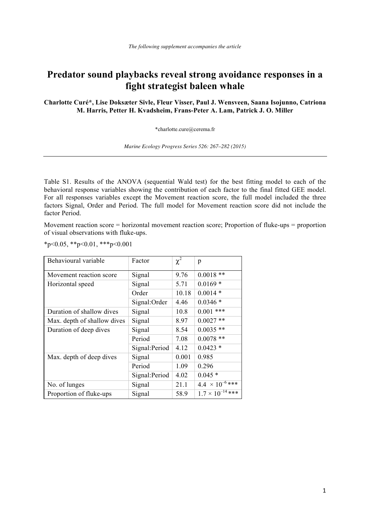## **Predator sound playbacks reveal strong avoidance responses in a fight strategist baleen whale**

**Charlotte Curé\*, Lise Doksæter Sivle, Fleur Visser, Paul J. Wensveen, Saana Isojunno, Catriona M. Harris, Petter H. Kvadsheim, Frans-Peter A. Lam, Patrick J. O. Miller**

\*charlotte.cure@cerema.fr

*Marine Ecology Progress Series 526: 267–282 (2015)* 

Table S1. Results of the ANOVA (sequential Wald test) for the best fitting model to each of the behavioral response variables showing the contribution of each factor to the final fitted GEE model. For all responses variables except the Movement reaction score, the full model included the three factors Signal, Order and Period. The full model for Movement reaction score did not include the factor Period.

Movement reaction score = horizontal movement reaction score; Proportion of fluke-ups = proportion of visual observations with fluke-ups.

 $*p<0.05$ ,  $*p<0.01$ ,  $**p<0.001$ 

| Behavioural variable        | Factor         | $\chi^2$ | p                         |
|-----------------------------|----------------|----------|---------------------------|
| Movement reaction score     | Signal         | 9.76     | $0.0018**$                |
| Horizontal speed            | Signal         | 5.71     | $0.0169*$                 |
|                             | Order          | 10.18    | $0.0014*$                 |
|                             | Signal:Order   | 4.46     | $0.0346*$                 |
| Duration of shallow dives   | Signal         | 10.8     | $0.001$ ***               |
| Max. depth of shallow dives | Signal         | 8.97     | $0.0027$ **               |
| Duration of deep dives      | Signal         | 8.54     | $0.0035$ **               |
|                             | Period         | 7.08     | $0.0078$ **               |
|                             | Signal: Period | 4.12     | $0.0423*$                 |
| Max. depth of deep dives    | Signal         | 0.001    | 0.985                     |
|                             | Period         | 1.09     | 0.296                     |
|                             | Signal: Period | 4.02     | $0.045*$                  |
| No. of lunges               | Signal         | 21.1     | $4.4 \times 10^{-6}$ ***  |
| Proportion of fluke-ups     | Signal         | 58.9     | $1.7 \times 10^{-14}$ *** |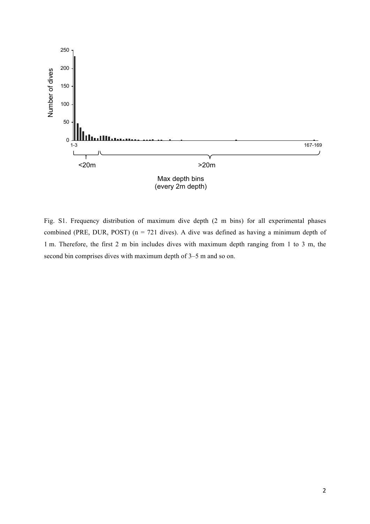

Fig. S1. Frequency distribution of maximum dive depth (2 m bins) for all experimental phases combined (PRE, DUR, POST) ( $n = 721$  dives). A dive was defined as having a minimum depth of 1 m. Therefore, the first 2 m bin includes dives with maximum depth ranging from 1 to 3 m, the second bin comprises dives with maximum depth of 3–5 m and so on.